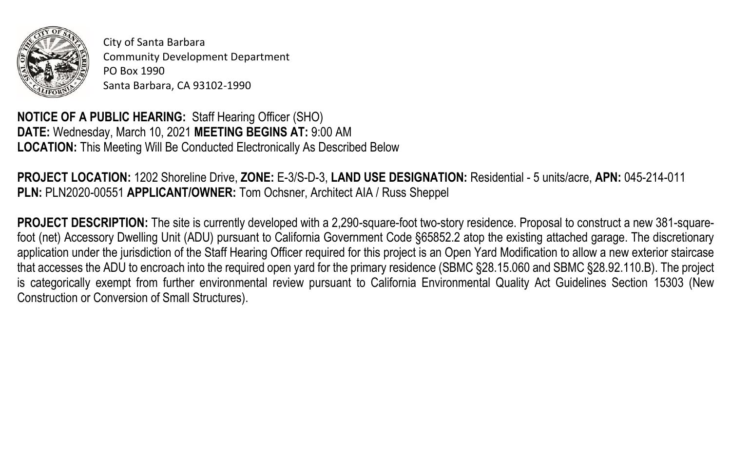

City of Santa Barbara Community Development Department PO Box 1990 Santa Barbara, CA 93102-1990

**NOTICE OF A PUBLIC HEARING:** Staff Hearing Officer (SHO) **DATE:** Wednesday, March 10, 2021 **MEETING BEGINS AT:** 9:00 AM **LOCATION:** This Meeting Will Be Conducted Electronically As Described Below

**PROJECT LOCATION:** 1202 Shoreline Drive, **ZONE:** E-3/S-D-3, **LAND USE DESIGNATION:** Residential - 5 units/acre, **APN:** 045-214-011 **PLN:** PLN2020-00551 **APPLICANT/OWNER:** Tom Ochsner, Architect AIA / Russ Sheppel

**PROJECT DESCRIPTION:** The site is currently developed with a 2,290-square-foot two-story residence. Proposal to construct a new 381-squarefoot (net) Accessory Dwelling Unit (ADU) pursuant to California Government Code §65852.2 atop the existing attached garage. The discretionary application under the jurisdiction of the Staff Hearing Officer required for this project is an Open Yard Modification to allow a new exterior staircase that accesses the ADU to encroach into the required open yard for the primary residence (SBMC §28.15.060 and SBMC §28.92.110.B). The project is categorically exempt from further environmental review pursuant to California Environmental Quality Act Guidelines Section 15303 (New Construction or Conversion of Small Structures).